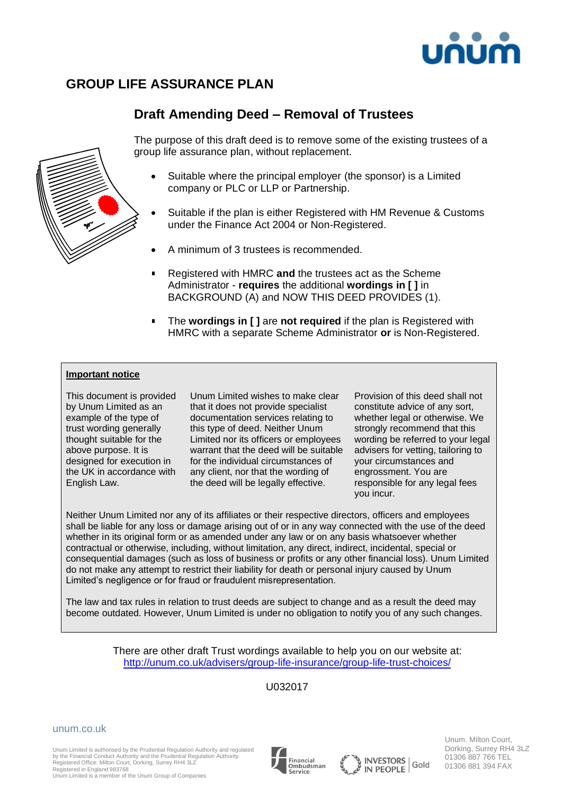

## **GROUP LIFE ASSURANCE PLAN**

### **Draft Amending Deed – Removal of Trustees**



The purpose of this draft deed is to remove some of the existing trustees of a group life assurance plan, without replacement.

- Suitable where the principal employer (the sponsor) is a Limited company or PLC or LLP or Partnership.
- Suitable if the plan is either Registered with HM Revenue & Customs under the Finance Act 2004 or Non-Registered.
- A minimum of 3 trustees is recommended.
- Registered with HMRC **and** the trustees act as the Scheme Administrator - **requires** the additional **wordings in [ ]** in BACKGROUND (A) and NOW THIS DEED PROVIDES (1).
- The **wordings in [ ]** are **not required** if the plan is Registered with HMRC with a separate Scheme Administrator **or** is Non-Registered.

#### **Important notice**

This document is provided by Unum Limited as an example of the type of trust wording generally thought suitable for the above purpose. It is designed for execution in the UK in accordance with English Law.

Unum Limited wishes to make clear that it does not provide specialist documentation services relating to this type of deed. Neither Unum Limited nor its officers or employees warrant that the deed will be suitable for the individual circumstances of any client, nor that the wording of the deed will be legally effective.

Provision of this deed shall not constitute advice of any sort, whether legal or otherwise. We strongly recommend that this wording be referred to your legal advisers for vetting, tailoring to your circumstances and engrossment. You are responsible for any legal fees you incur.

Neither Unum Limited nor any of its affiliates or their respective directors, officers and employees shall be liable for any loss or damage arising out of or in any way connected with the use of the deed whether in its original form or as amended under any law or on any basis whatsoever whether contractual or otherwise, including, without limitation, any direct, indirect, incidental, special or consequential damages (such as loss of business or profits or any other financial loss). Unum Limited do not make any attempt to restrict their liability for death or personal injury caused by Unum Limited's negligence or for fraud or fraudulent misrepresentation.

The law and tax rules in relation to trust deeds are subject to change and as a result the deed may become outdated. However, Unum Limited is under no obligation to notify you of any such changes.

> There are other draft Trust wordings available to help you on our website at: <http://unum.co.uk/advisers/group-life-insurance/group-life-trust-choices/>

> > U032017

unum.co.uk

Unum Limited is authorised by the Prudential Regulation Authority and regulated by the Financial Conduct Authority and the Prudential Regulation Authority Registered Office: Milton Court, Dorking, Surrey RH4 3LZ





Unum. Milton Court, Dorking, Surrey RH4 3LZ 01306 887 766 TEL 01306 881 394 FAX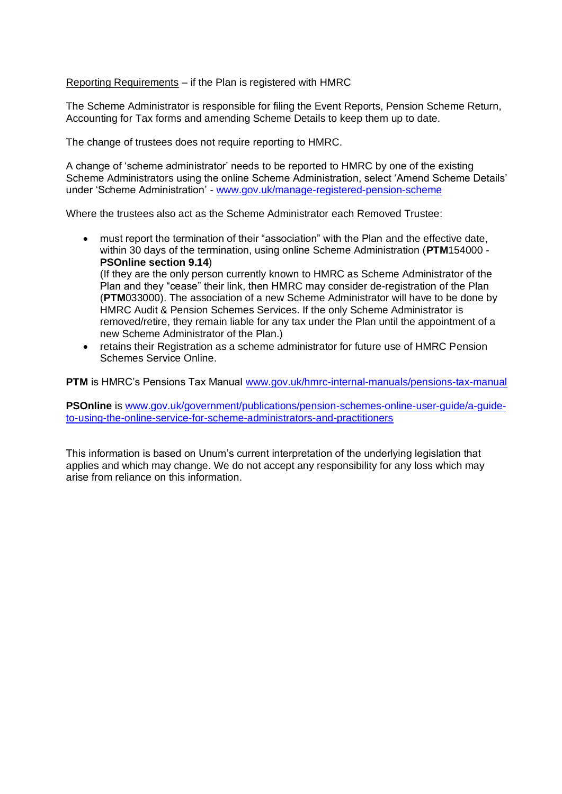Reporting Requirements – if the Plan is registered with HMRC

The Scheme Administrator is responsible for filing the Event Reports, Pension Scheme Return, Accounting for Tax forms and amending Scheme Details to keep them up to date.

The change of trustees does not require reporting to HMRC.

A change of 'scheme administrator' needs to be reported to HMRC by one of the existing Scheme Administrators using the online Scheme Administration, select 'Amend Scheme Details' under 'Scheme Administration' - [www.gov.uk/manage-registered-pension-scheme](http://www.gov.uk/manage-registered-pension-scheme)

Where the trustees also act as the Scheme Administrator each Removed Trustee:

- must report the termination of their "association" with the Plan and the effective date, within 30 days of the termination, using online Scheme Administration (**PTM**154000 - **PSOnline section 9.14**) (If they are the only person currently known to HMRC as Scheme Administrator of the Plan and they "cease" their link, then HMRC may consider de-registration of the Plan (**PTM**033000). The association of a new Scheme Administrator will have to be done by HMRC Audit & Pension Schemes Services. If the only Scheme Administrator is removed/retire, they remain liable for any tax under the Plan until the appointment of a new Scheme Administrator of the Plan.)
- retains their Registration as a scheme administrator for future use of HMRC Pension Schemes Service Online.

**PTM** is HMRC's Pensions Tax Manual [www.gov.uk/hmrc-internal-manuals/pensions-tax-manual](http://www.gov.uk/hmrc-internal-manuals/pensions-tax-manual)

**PSOnline** is [www.gov.uk/government/publications/pension-schemes-online-user-guide/a-guide](http://www.gov.uk/government/publications/pension-schemes-online-user-guide/a-guide-to-using-the-online-service-for-scheme-administrators-and-practitioners)[to-using-the-online-service-for-scheme-administrators-and-practitioners](http://www.gov.uk/government/publications/pension-schemes-online-user-guide/a-guide-to-using-the-online-service-for-scheme-administrators-and-practitioners)

This information is based on Unum's current interpretation of the underlying legislation that applies and which may change. We do not accept any responsibility for any loss which may arise from reliance on this information.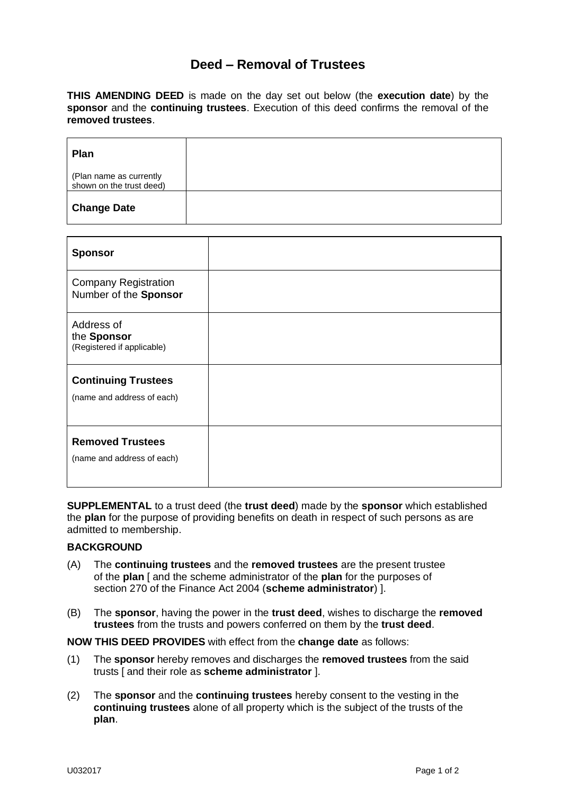#### **Deed – Removal of Trustees**

**THIS AMENDING DEED** is made on the day set out below (the **execution date**) by the **sponsor** and the **continuing trustees**. Execution of this deed confirms the removal of the **removed trustees**.

| <b>Plan</b>                                         |  |
|-----------------------------------------------------|--|
| (Plan name as currently<br>shown on the trust deed) |  |
| <b>Change Date</b>                                  |  |

| <b>Sponsor</b>                                           |  |
|----------------------------------------------------------|--|
| <b>Company Registration</b><br>Number of the Sponsor     |  |
| Address of<br>the Sponsor<br>(Registered if applicable)  |  |
| <b>Continuing Trustees</b><br>(name and address of each) |  |
| <b>Removed Trustees</b><br>(name and address of each)    |  |

**SUPPLEMENTAL** to a trust deed (the **trust deed**) made by the **sponsor** which established the **plan** for the purpose of providing benefits on death in respect of such persons as are admitted to membership.

#### **BACKGROUND**

- (A) The **continuing trustees** and the **removed trustees** are the present trustee of the **plan** [ and the scheme administrator of the **plan** for the purposes of section 270 of the Finance Act 2004 (**scheme administrator**) ].
- (B) The **sponsor**, having the power in the **trust deed**, wishes to discharge the **removed trustees** from the trusts and powers conferred on them by the **trust deed**.

**NOW THIS DEED PROVIDES** with effect from the **change date** as follows:

- (1) The **sponsor** hereby removes and discharges the **removed trustees** from the said trusts [ and their role as **scheme administrator** ].
- (2) The **sponsor** and the **continuing trustees** hereby consent to the vesting in the **continuing trustees** alone of all property which is the subject of the trusts of the **plan**.